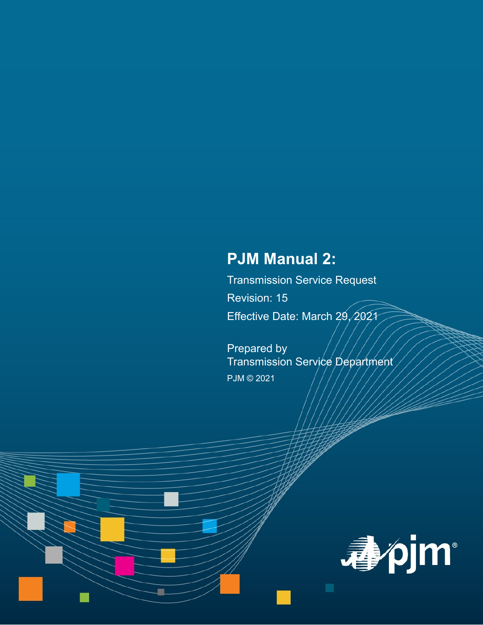# **PJM Manual 2:**

Transmission Service Request Revision: 15 Effective Date: March 29, 2021

Prepared by Transmission Service Department PJM © 2021

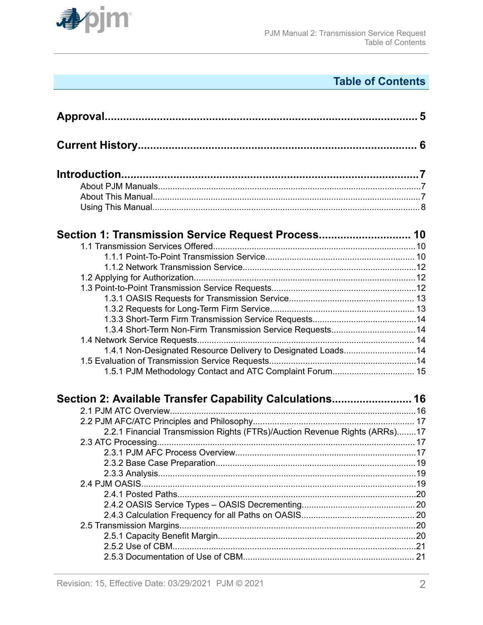

## **Table of Contents**

| Section 1: Transmission Service Request Process 10                         |  |
|----------------------------------------------------------------------------|--|
|                                                                            |  |
|                                                                            |  |
|                                                                            |  |
|                                                                            |  |
|                                                                            |  |
|                                                                            |  |
|                                                                            |  |
|                                                                            |  |
|                                                                            |  |
|                                                                            |  |
| 1.4.1 Non-Designated Resource Delivery to Designated Loads14               |  |
|                                                                            |  |
| 1.5.1 PJM Methodology Contact and ATC Complaint Forum 15                   |  |
| Section 2: Available Transfer Capability Calculations 16                   |  |
|                                                                            |  |
|                                                                            |  |
| 2.2.1 Financial Transmission Rights (FTRs)/Auction Revenue Rights (ARRs)17 |  |
|                                                                            |  |
|                                                                            |  |
|                                                                            |  |
|                                                                            |  |
|                                                                            |  |
|                                                                            |  |
|                                                                            |  |
|                                                                            |  |
|                                                                            |  |
|                                                                            |  |
|                                                                            |  |
|                                                                            |  |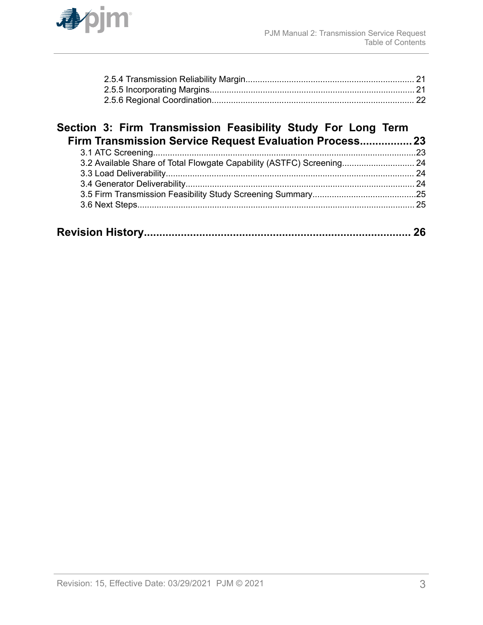

### **[Section 3: Firm Transmission Feasibility Study For Long Term](#page-22-0) [Firm Transmission Service Request Evaluation Process.................23](#page-22-0)**

|--|--|--|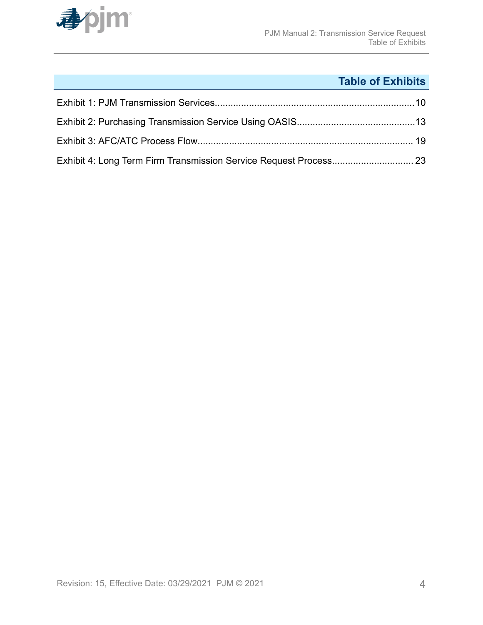

## **Table of Exhibits**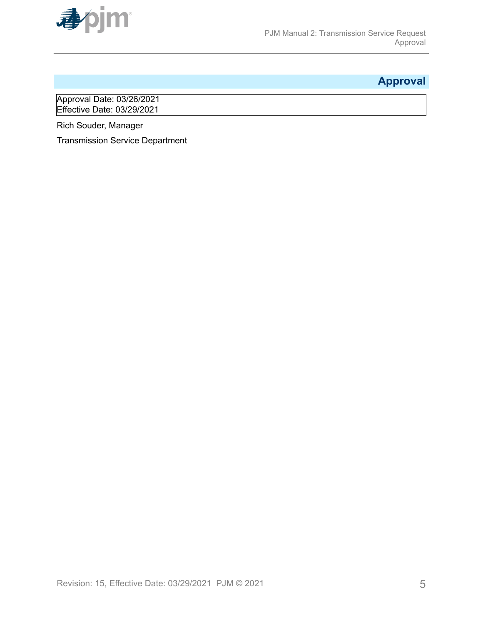<span id="page-4-0"></span>

## **Approval**

Approval Date: 03/26/2021 Effective Date: 03/29/2021

Rich Souder, Manager

Transmission Service Department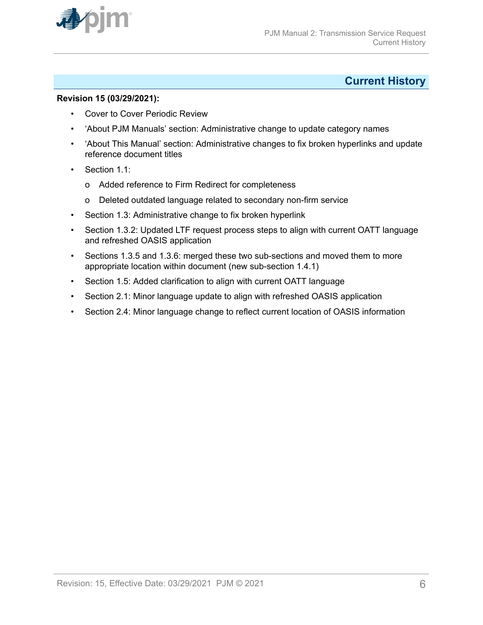<span id="page-5-0"></span>

### **Current History**

#### **Revision 15 (03/29/2021):**

- Cover to Cover Periodic Review
- 'About PJM Manuals' section: Administrative change to update category names
- 'About This Manual' section: Administrative changes to fix broken hyperlinks and update reference document titles
- Section 1.1:
	- o Added reference to Firm Redirect for completeness
	- o Deleted outdated language related to secondary non-firm service
- Section 1.3: Administrative change to fix broken hyperlink
- Section 1.3.2: Updated LTF request process steps to align with current OATT language and refreshed OASIS application
- Sections 1.3.5 and 1.3.6: merged these two sub-sections and moved them to more appropriate location within document (new sub-section 1.4.1)
- Section 1.5: Added clarification to align with current OATT language
- Section 2.1: Minor language update to align with refreshed OASIS application
- Section 2.4: Minor language change to reflect current location of OASIS information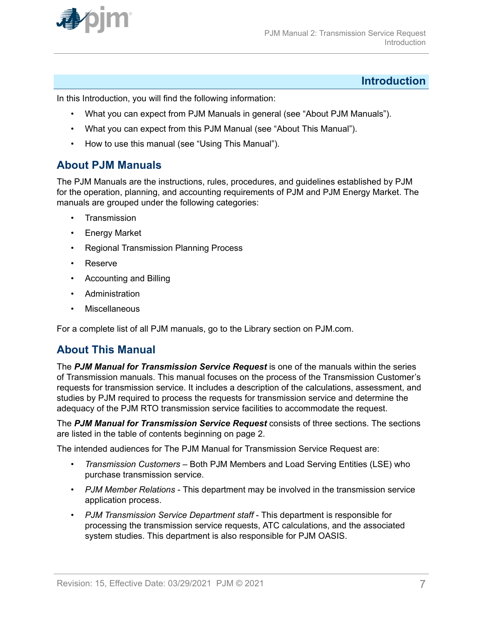<span id="page-6-0"></span>

### **Introduction**

In this Introduction, you will find the following information:

- What you can expect from PJM Manuals in general (see "About PJM Manuals").
- What you can expect from this PJM Manual (see "About This Manual").
- How to use this manual (see "Using This Manual").

### **About PJM Manuals**

The PJM Manuals are the instructions, rules, procedures, and guidelines established by PJM for the operation, planning, and accounting requirements of PJM and PJM Energy Market. The manuals are grouped under the following categories:

- **Transmission**
- Energy Market
- Regional Transmission Planning Process
- Reserve
- Accounting and Billing
- **Administration**
- **Miscellaneous**

For a complete list of all PJM manuals, go to the Library section on PJM.com.

### **About This Manual**

The *PJM Manual for Transmission Service Request* is one of the manuals within the series of Transmission manuals. This manual focuses on the process of the Transmission Customer's requests for transmission service. It includes a description of the calculations, assessment, and studies by PJM required to process the requests for transmission service and determine the adequacy of the PJM RTO transmission service facilities to accommodate the request.

The *PJM Manual for Transmission Service Request* consists of three sections. The sections are listed in the table of contents beginning on page 2.

The intended audiences for The PJM Manual for Transmission Service Request are:

- *Transmission Customers* Both PJM Members and Load Serving Entities (LSE) who purchase transmission service.
- *PJM Member Relations* This department may be involved in the transmission service application process.
- *PJM Transmission Service Department staff* This department is responsible for processing the transmission service requests, ATC calculations, and the associated system studies. This department is also responsible for PJM OASIS.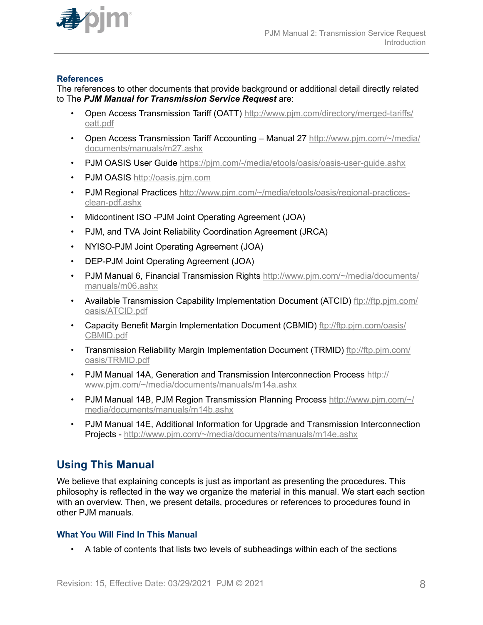<span id="page-7-0"></span>

#### **References**

The references to other documents that provide background or additional detail directly related to The *PJM Manual for Transmission Service Request* are:

- Open Access Transmission Tariff (OATT) [http://www.pjm.com/directory/merged-tariffs/](http://www.pjm.com/directory/merged-tariffs/oatt.pdf) [oatt.pdf](http://www.pjm.com/directory/merged-tariffs/oatt.pdf)
- Open Access Transmission Tariff Accounting Manual 27 [http://www.pjm.com/~/media/](http://www.pjm.com/~/media/documents/manuals/m27.ashx) [documents/manuals/m27.ashx](http://www.pjm.com/~/media/documents/manuals/m27.ashx)
- PJM OASIS User Guide<https://pjm.com/-/media/etools/oasis/oasis-user-guide.ashx>
- PJM OASIS [http://oasis.pjm.com](http://oasis.pjm.com/)
- PJM Regional Practices [http://www.pjm.com/~/media/etools/oasis/regional-practices](http://www.pjm.com/~/media/etools/oasis/regional-practices-clean-pdf.ashx)[clean-pdf.ashx](http://www.pjm.com/~/media/etools/oasis/regional-practices-clean-pdf.ashx)
- Midcontinent ISO -PJM Joint Operating Agreement (JOA)
- PJM, and TVA Joint Reliability Coordination Agreement (JRCA)
- NYISO-PJM Joint Operating Agreement (JOA)
- DEP-PJM Joint Operating Agreement (JOA)
- PJM Manual 6, Financial Transmission Rights [http://www.pjm.com/~/media/documents/](http://www.pjm.com/~/media/documents/manuals/m06.ashx) [manuals/m06.ashx](http://www.pjm.com/~/media/documents/manuals/m06.ashx)
- Available Transmission Capability Implementation Document (ATCID) [ftp://ftp.pjm.com/](ftp://ftp.pjm.com/oasis/ATCID.pdf) [oasis/ATCID.pdf](ftp://ftp.pjm.com/oasis/ATCID.pdf)
- Capacity Benefit Margin Implementation Document (CBMID) [ftp://ftp.pjm.com/oasis/](ftp://ftp.pjm.com/oasis/CBMID.pdf) [CBMID.pdf](ftp://ftp.pjm.com/oasis/CBMID.pdf)
- Transmission Reliability Margin Implementation Document (TRMID) [ftp://ftp.pjm.com/](ftp://ftp.pjm.com/oasis/TRMID.pdf) [oasis/TRMID.pdf](ftp://ftp.pjm.com/oasis/TRMID.pdf)
- PJM Manual 14A, Generation and Transmission Interconnection Process [http://](http://www.pjm.com/~/media/documents/manuals/m14a.ashx) [www.pjm.com/~/media/documents/manuals/m14a.ashx](http://www.pjm.com/~/media/documents/manuals/m14a.ashx)
- PJM Manual 14B, PJM Region Transmission Planning Process [http://www.pjm.com/~/](http://www.pjm.com/~/media/documents/manuals/m14b.ashx) [media/documents/manuals/m14b.ashx](http://www.pjm.com/~/media/documents/manuals/m14b.ashx)
- PJM Manual 14E, Additional Information for Upgrade and Transmission Interconnection Projects -<http://www.pjm.com/~/media/documents/manuals/m14e.ashx>

### **Using This Manual**

We believe that explaining concepts is just as important as presenting the procedures. This philosophy is reflected in the way we organize the material in this manual. We start each section with an overview. Then, we present details, procedures or references to procedures found in other PJM manuals.

#### **What You Will Find In This Manual**

• A table of contents that lists two levels of subheadings within each of the sections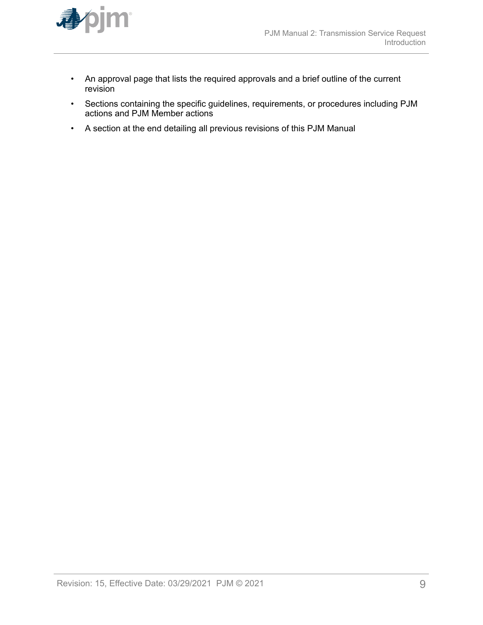

- An approval page that lists the required approvals and a brief outline of the current revision
- Sections containing the specific guidelines, requirements, or procedures including PJM actions and PJM Member actions
- A section at the end detailing all previous revisions of this PJM Manual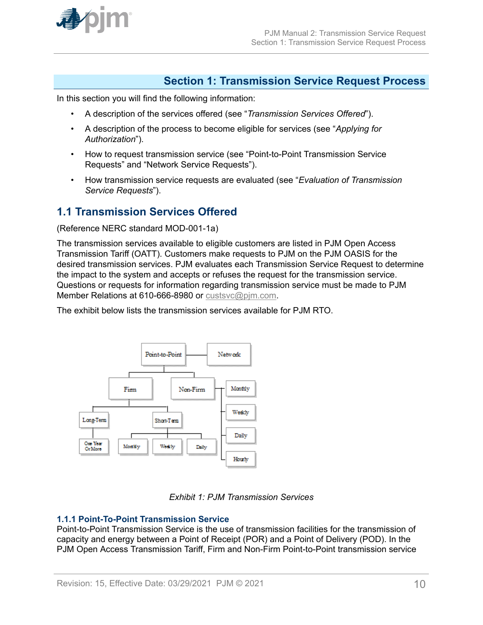<span id="page-9-0"></span>

### **Section 1: Transmission Service Request Process**

In this section you will find the following information:

- A description of the services offered (see "*Transmission Services Offered*").
- A description of the process to become eligible for services (see "*Applying for Authorization*").
- How to request transmission service (see "Point-to-Point Transmission Service Requests" and "Network Service Requests").
- How transmission service requests are evaluated (see "*Evaluation of Transmission Service Requests*").

### **1.1 Transmission Services Offered**

(Reference NERC standard MOD-001-1a)

The transmission services available to eligible customers are listed in PJM Open Access Transmission Tariff (OATT). Customers make requests to PJM on the PJM OASIS for the desired transmission services. PJM evaluates each Transmission Service Request to determine the impact to the system and accepts or refuses the request for the transmission service. Questions or requests for information regarding transmission service must be made to PJM Member Relations at 610-666-8980 or [custsvc@pjm.com](mailto:custsvc@pjm.com).

The exhibit below lists the transmission services available for PJM RTO.





#### **1.1.1 Point-To-Point Transmission Service**

Point-to-Point Transmission Service is the use of transmission facilities for the transmission of capacity and energy between a Point of Receipt (POR) and a Point of Delivery (POD). In the PJM Open Access Transmission Tariff, Firm and Non-Firm Point-to-Point transmission service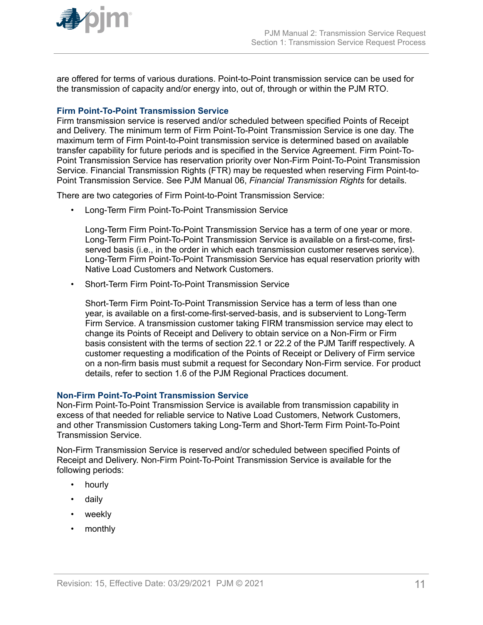

are offered for terms of various durations. Point-to-Point transmission service can be used for the transmission of capacity and/or energy into, out of, through or within the PJM RTO.

#### **Firm Point-To-Point Transmission Service**

Firm transmission service is reserved and/or scheduled between specified Points of Receipt and Delivery. The minimum term of Firm Point-To-Point Transmission Service is one day. The maximum term of Firm Point-to-Point transmission service is determined based on available transfer capability for future periods and is specified in the Service Agreement. Firm Point-To-Point Transmission Service has reservation priority over Non-Firm Point-To-Point Transmission Service. Financial Transmission Rights (FTR) may be requested when reserving Firm Point-to-Point Transmission Service. See PJM Manual 06, *Financial Transmission Rights* for details.

There are two categories of Firm Point-to-Point Transmission Service:

• Long-Term Firm Point-To-Point Transmission Service

Long-Term Firm Point-To-Point Transmission Service has a term of one year or more. Long-Term Firm Point-To-Point Transmission Service is available on a first-come, firstserved basis (i.e., in the order in which each transmission customer reserves service). Long-Term Firm Point-To-Point Transmission Service has equal reservation priority with Native Load Customers and Network Customers.

• Short-Term Firm Point-To-Point Transmission Service

Short-Term Firm Point-To-Point Transmission Service has a term of less than one year, is available on a first-come-first-served-basis, and is subservient to Long-Term Firm Service. A transmission customer taking FIRM transmission service may elect to change its Points of Receipt and Delivery to obtain service on a Non-Firm or Firm basis consistent with the terms of section 22.1 or 22.2 of the PJM Tariff respectively. A customer requesting a modification of the Points of Receipt or Delivery of Firm service on a non-firm basis must submit a request for Secondary Non-Firm service. For product details, refer to section 1.6 of the PJM Regional Practices document.

#### **Non-Firm Point-To-Point Transmission Service**

Non-Firm Point-To-Point Transmission Service is available from transmission capability in excess of that needed for reliable service to Native Load Customers, Network Customers, and other Transmission Customers taking Long-Term and Short-Term Firm Point-To-Point Transmission Service.

Non-Firm Transmission Service is reserved and/or scheduled between specified Points of Receipt and Delivery. Non-Firm Point-To-Point Transmission Service is available for the following periods:

- hourly
- daily
- weekly
- monthly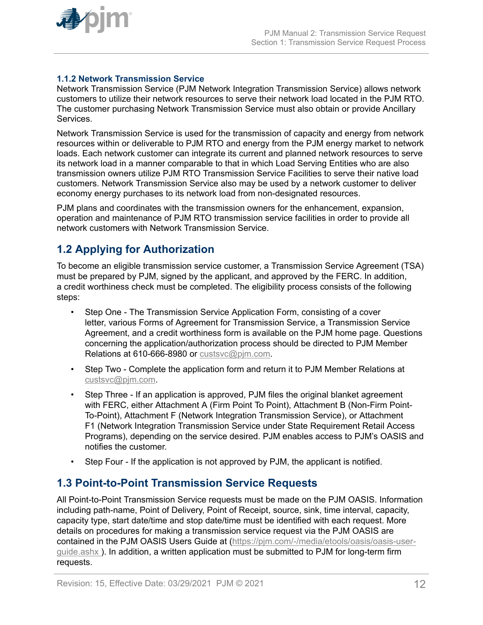<span id="page-11-0"></span>

#### **1.1.2 Network Transmission Service**

Network Transmission Service (PJM Network Integration Transmission Service) allows network customers to utilize their network resources to serve their network load located in the PJM RTO. The customer purchasing Network Transmission Service must also obtain or provide Ancillary Services.

Network Transmission Service is used for the transmission of capacity and energy from network resources within or deliverable to PJM RTO and energy from the PJM energy market to network loads. Each network customer can integrate its current and planned network resources to serve its network load in a manner comparable to that in which Load Serving Entities who are also transmission owners utilize PJM RTO Transmission Service Facilities to serve their native load customers. Network Transmission Service also may be used by a network customer to deliver economy energy purchases to its network load from non-designated resources.

PJM plans and coordinates with the transmission owners for the enhancement, expansion, operation and maintenance of PJM RTO transmission service facilities in order to provide all network customers with Network Transmission Service.

### **1.2 Applying for Authorization**

To become an eligible transmission service customer, a Transmission Service Agreement (TSA) must be prepared by PJM, signed by the applicant, and approved by the FERC. In addition, a credit worthiness check must be completed. The eligibility process consists of the following steps:

- Step One The Transmission Service Application Form, consisting of a cover letter, various Forms of Agreement for Transmission Service, a Transmission Service Agreement, and a credit worthiness form is available on the PJM home page. Questions concerning the application/authorization process should be directed to PJM Member Relations at 610-666-8980 or custsyc@pim.com.
- Step Two Complete the application form and return it to PJM Member Relations at [custsvc@pjm.com](mailto:custsvc@pjm.com).
- Step Three If an application is approved, PJM files the original blanket agreement with FERC, either Attachment A (Firm Point To Point), Attachment B (Non-Firm Point-To-Point), Attachment F (Network Integration Transmission Service), or Attachment F1 (Network Integration Transmission Service under State Requirement Retail Access Programs), depending on the service desired. PJM enables access to PJM's OASIS and notifies the customer.
- Step Four If the application is not approved by PJM, the applicant is notified.

### **1.3 Point-to-Point Transmission Service Requests**

All Point-to-Point Transmission Service requests must be made on the PJM OASIS. Information including path-name, Point of Delivery, Point of Receipt, source, sink, time interval, capacity, capacity type, start date/time and stop date/time must be identified with each request. More details on procedures for making a transmission service request via the PJM OASIS are contained in the PJM OASIS Users Guide at ([https://pjm.com/-/media/etools/oasis/oasis-user](https://pjm.com/-/media/etools/oasis/oasis-user-guide.ashx)[guide.ashx](https://pjm.com/-/media/etools/oasis/oasis-user-guide.ashx) ). In addition, a written application must be submitted to PJM for long-term firm requests.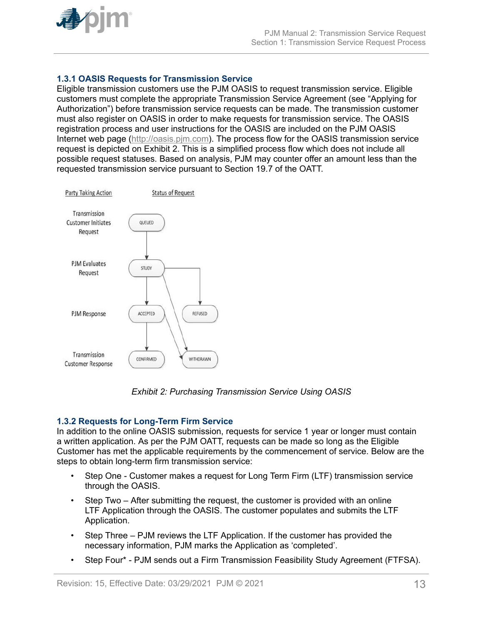<span id="page-12-0"></span>

#### **1.3.1 OASIS Requests for Transmission Service**

Eligible transmission customers use the PJM OASIS to request transmission service. Eligible customers must complete the appropriate Transmission Service Agreement (see "Applying for Authorization") before transmission service requests can be made. The transmission customer must also register on OASIS in order to make requests for transmission service. The OASIS registration process and user instructions for the OASIS are included on the PJM OASIS Internet web page ([http://oasis.pjm.com\)](http://oasis.pjm.com/). The process flow for the OASIS transmission service request is depicted on Exhibit 2. This is a simplified process flow which does not include all possible request statuses. Based on analysis, PJM may counter offer an amount less than the requested transmission service pursuant to Section 19.7 of the OATT.



*Exhibit 2: Purchasing Transmission Service Using OASIS*

#### **1.3.2 Requests for Long-Term Firm Service**

In addition to the online OASIS submission, requests for service 1 year or longer must contain a written application. As per the PJM OATT, requests can be made so long as the Eligible Customer has met the applicable requirements by the commencement of service. Below are the steps to obtain long-term firm transmission service:

- Step One Customer makes a request for Long Term Firm (LTF) transmission service through the OASIS.
- Step Two After submitting the request, the customer is provided with an online LTF Application through the OASIS. The customer populates and submits the LTF Application.
- Step Three PJM reviews the LTF Application. If the customer has provided the necessary information, PJM marks the Application as 'completed'.
- Step Four\* PJM sends out a Firm Transmission Feasibility Study Agreement (FTFSA).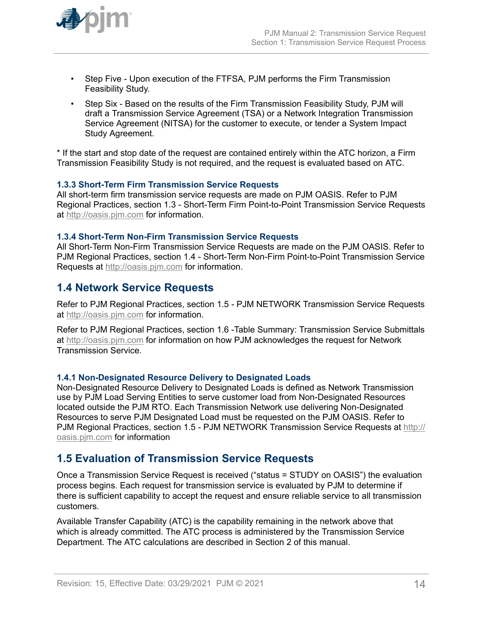<span id="page-13-0"></span>

- Step Five Upon execution of the FTFSA, PJM performs the Firm Transmission Feasibility Study.
- Step Six Based on the results of the Firm Transmission Feasibility Study, PJM will draft a Transmission Service Agreement (TSA) or a Network Integration Transmission Service Agreement (NITSA) for the customer to execute, or tender a System Impact Study Agreement.

\* If the start and stop date of the request are contained entirely within the ATC horizon, a Firm Transmission Feasibility Study is not required, and the request is evaluated based on ATC.

#### **1.3.3 Short-Term Firm Transmission Service Requests**

All short-term firm transmission service requests are made on PJM OASIS. Refer to PJM Regional Practices, section 1.3 - Short-Term Firm Point-to-Point Transmission Service Requests at [http://oasis.pjm.com](http://oasis.pjm.com/) for information.

#### **1.3.4 Short-Term Non-Firm Transmission Service Requests**

All Short-Term Non-Firm Transmission Service Requests are made on the PJM OASIS. Refer to PJM Regional Practices, section 1.4 - Short-Term Non-Firm Point-to-Point Transmission Service Requests at [http://oasis.pjm.com](http://oasis.pjm.com/) for information.

#### **1.4 Network Service Requests**

Refer to PJM Regional Practices, section 1.5 - PJM NETWORK Transmission Service Requests at [http://oasis.pjm.com](http://oasis.pjm.com/) for information.

Refer to PJM Regional Practices, section 1.6 -Table Summary: Transmission Service Submittals at [http://oasis.pjm.com](http://oasis.pjm.com/) for information on how PJM acknowledges the request for Network Transmission Service.

#### **1.4.1 Non-Designated Resource Delivery to Designated Loads**

Non-Designated Resource Delivery to Designated Loads is defined as Network Transmission use by PJM Load Serving Entities to serve customer load from Non-Designated Resources located outside the PJM RTO. Each Transmission Network use delivering Non-Designated Resources to serve PJM Designated Load must be requested on the PJM OASIS. Refer to PJM Regional Practices, section 1.5 - PJM NETWORK Transmission Service Requests at [http://](http://oasis.pjm.com/) [oasis.pjm.com](http://oasis.pjm.com/) for information

### **1.5 Evaluation of Transmission Service Requests**

Once a Transmission Service Request is received ("status = STUDY on OASIS") the evaluation process begins. Each request for transmission service is evaluated by PJM to determine if there is sufficient capability to accept the request and ensure reliable service to all transmission customers.

Available Transfer Capability (ATC) is the capability remaining in the network above that which is already committed. The ATC process is administered by the Transmission Service Department. The ATC calculations are described in Section 2 of this manual.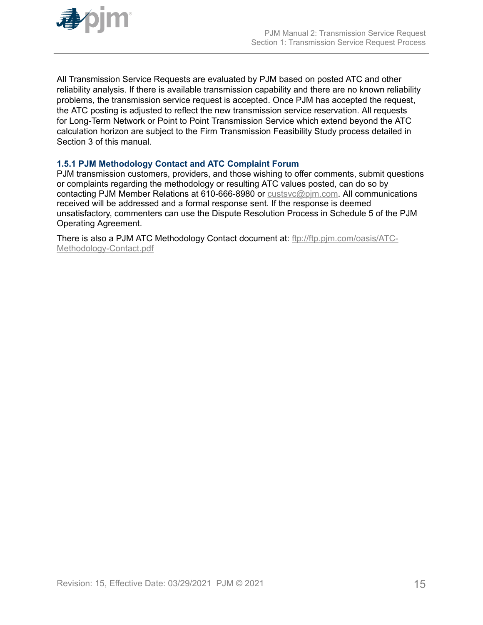<span id="page-14-0"></span>

All Transmission Service Requests are evaluated by PJM based on posted ATC and other reliability analysis. If there is available transmission capability and there are no known reliability problems, the transmission service request is accepted. Once PJM has accepted the request, the ATC posting is adjusted to reflect the new transmission service reservation. All requests for Long-Term Network or Point to Point Transmission Service which extend beyond the ATC calculation horizon are subject to the Firm Transmission Feasibility Study process detailed in Section 3 of this manual.

#### **1.5.1 PJM Methodology Contact and ATC Complaint Forum**

PJM transmission customers, providers, and those wishing to offer comments, submit questions or complaints regarding the methodology or resulting ATC values posted, can do so by contacting PJM Member Relations at 610-666-8980 or [custsvc@pjm.com.](mailto:custsvc@pjm.com) All communications received will be addressed and a formal response sent. If the response is deemed unsatisfactory, commenters can use the Dispute Resolution Process in Schedule 5 of the PJM Operating Agreement.

There is also a PJM ATC Methodology Contact document at: [ftp://ftp.pjm.com/oasis/ATC-](ftp://ftp.pjm.com/oasis/ATC-Methodology-Contact.pdf)[Methodology-Contact.pdf](ftp://ftp.pjm.com/oasis/ATC-Methodology-Contact.pdf)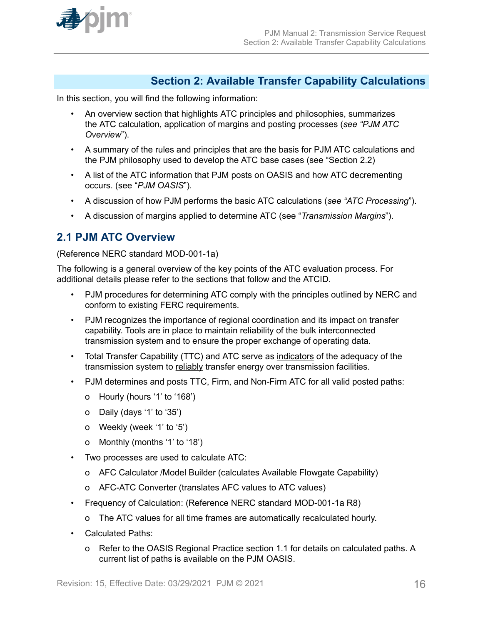<span id="page-15-0"></span>

### **Section 2: Available Transfer Capability Calculations**

In this section, you will find the following information:

- An overview section that highlights ATC principles and philosophies, summarizes the ATC calculation, application of margins and posting processes (*see "PJM ATC Overview*").
- A summary of the rules and principles that are the basis for PJM ATC calculations and the PJM philosophy used to develop the ATC base cases (see "Section 2.2)
- A list of the ATC information that PJM posts on OASIS and how ATC decrementing occurs. (see "*PJM OASIS*").
- A discussion of how PJM performs the basic ATC calculations (*see "ATC Processing*").
- A discussion of margins applied to determine ATC (see "*Transmission Margins*").

### **2.1 PJM ATC Overview**

#### (Reference NERC standard MOD-001-1a)

The following is a general overview of the key points of the ATC evaluation process. For additional details please refer to the sections that follow and the ATCID.

- PJM procedures for determining ATC comply with the principles outlined by NERC and conform to existing FERC requirements.
- PJM recognizes the importance of regional coordination and its impact on transfer capability. Tools are in place to maintain reliability of the bulk interconnected transmission system and to ensure the proper exchange of operating data.
- Total Transfer Capability (TTC) and ATC serve as indicators of the adequacy of the transmission system to reliably transfer energy over transmission facilities.
- PJM determines and posts TTC, Firm, and Non-Firm ATC for all valid posted paths:
	- o Hourly (hours '1' to '168')
	- o Daily (days '1' to '35')
	- o Weekly (week '1' to '5')
	- o Monthly (months '1' to '18')
- Two processes are used to calculate ATC:
	- o AFC Calculator /Model Builder (calculates Available Flowgate Capability)
	- o AFC-ATC Converter (translates AFC values to ATC values)
- Frequency of Calculation: (Reference NERC standard MOD-001-1a R8)
	- o The ATC values for all time frames are automatically recalculated hourly.
- Calculated Paths:
	- o Refer to the OASIS Regional Practice section 1.1 for details on calculated paths. A current list of paths is available on the PJM OASIS.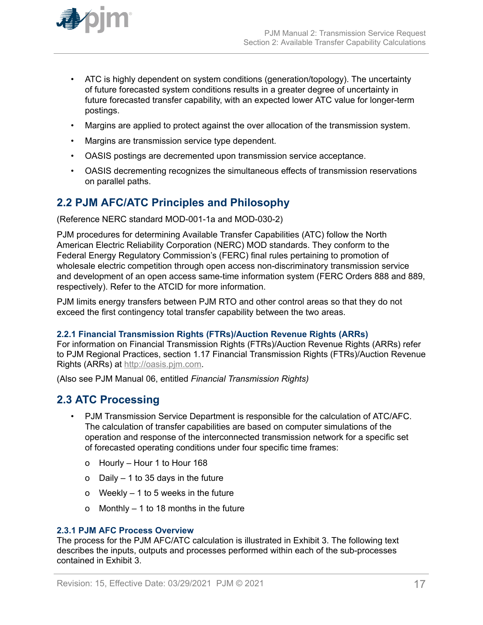<span id="page-16-0"></span>

- ATC is highly dependent on system conditions (generation/topology). The uncertainty of future forecasted system conditions results in a greater degree of uncertainty in future forecasted transfer capability, with an expected lower ATC value for longer-term postings.
- Margins are applied to protect against the over allocation of the transmission system.
- Margins are transmission service type dependent.
- OASIS postings are decremented upon transmission service acceptance.
- OASIS decrementing recognizes the simultaneous effects of transmission reservations on parallel paths.

### **2.2 PJM AFC/ATC Principles and Philosophy**

(Reference NERC standard MOD-001-1a and MOD-030-2)

PJM procedures for determining Available Transfer Capabilities (ATC) follow the North American Electric Reliability Corporation (NERC) MOD standards. They conform to the Federal Energy Regulatory Commission's (FERC) final rules pertaining to promotion of wholesale electric competition through open access non-discriminatory transmission service and development of an open access same-time information system (FERC Orders 888 and 889, respectively). Refer to the ATCID for more information.

PJM limits energy transfers between PJM RTO and other control areas so that they do not exceed the first contingency total transfer capability between the two areas.

#### **2.2.1 Financial Transmission Rights (FTRs)/Auction Revenue Rights (ARRs)**

For information on Financial Transmission Rights (FTRs)/Auction Revenue Rights (ARRs) refer to PJM Regional Practices, section 1.17 Financial Transmission Rights (FTRs)/Auction Revenue Rights (ARRs) at [http://oasis.pjm.com](http://oasis.pjm.com/).

(Also see PJM Manual 06, entitled *Financial Transmission Rights)*

### **2.3 ATC Processing**

- PJM Transmission Service Department is responsible for the calculation of ATC/AFC. The calculation of transfer capabilities are based on computer simulations of the operation and response of the interconnected transmission network for a specific set of forecasted operating conditions under four specific time frames:
	- o Hourly Hour 1 to Hour 168
	- o Daily 1 to 35 days in the future
	- o Weekly 1 to 5 weeks in the future
	- o Monthly 1 to 18 months in the future

#### **2.3.1 PJM AFC Process Overview**

The process for the PJM AFC/ATC calculation is illustrated in Exhibit 3. The following text describes the inputs, outputs and processes performed within each of the sub-processes contained in Exhibit 3.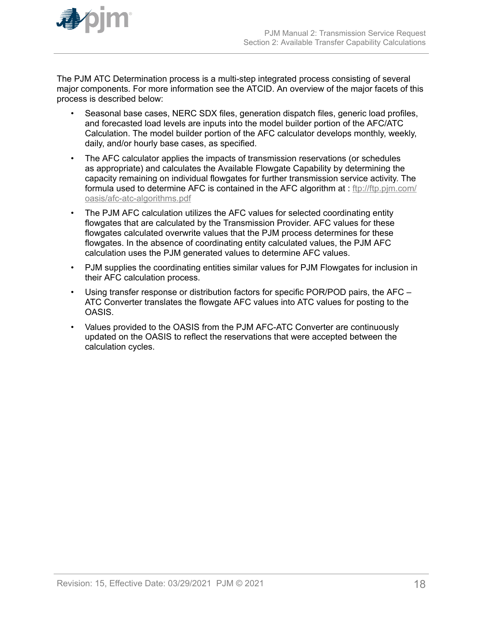

The PJM ATC Determination process is a multi-step integrated process consisting of several major components. For more information see the ATCID. An overview of the major facets of this process is described below:

- Seasonal base cases, NERC SDX files, generation dispatch files, generic load profiles, and forecasted load levels are inputs into the model builder portion of the AFC/ATC Calculation. The model builder portion of the AFC calculator develops monthly, weekly, daily, and/or hourly base cases, as specified.
- The AFC calculator applies the impacts of transmission reservations (or schedules as appropriate) and calculates the Available Flowgate Capability by determining the capacity remaining on individual flowgates for further transmission service activity. The formula used to determine AFC is contained in the AFC algorithm at : [ftp://ftp.pjm.com/](ftp://ftp.pjm.com/oasis/afc-atc-algorithms.pdf) [oasis/afc-atc-algorithms.pdf](ftp://ftp.pjm.com/oasis/afc-atc-algorithms.pdf)
- The PJM AFC calculation utilizes the AFC values for selected coordinating entity flowgates that are calculated by the Transmission Provider. AFC values for these flowgates calculated overwrite values that the PJM process determines for these flowgates. In the absence of coordinating entity calculated values, the PJM AFC calculation uses the PJM generated values to determine AFC values.
- PJM supplies the coordinating entities similar values for PJM Flowgates for inclusion in their AFC calculation process.
- Using transfer response or distribution factors for specific POR/POD pairs, the AFC ATC Converter translates the flowgate AFC values into ATC values for posting to the OASIS.
- Values provided to the OASIS from the PJM AFC-ATC Converter are continuously updated on the OASIS to reflect the reservations that were accepted between the calculation cycles.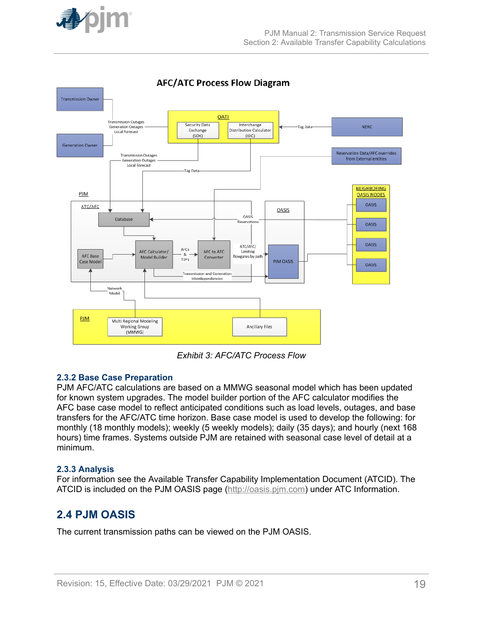<span id="page-18-0"></span>



*Exhibit 3: AFC/ATC Process Flow*

#### **2.3.2 Base Case Preparation**

PJM AFC/ATC calculations are based on a MMWG seasonal model which has been updated for known system upgrades. The model builder portion of the AFC calculator modifies the AFC base case model to reflect anticipated conditions such as load levels, outages, and base transfers for the AFC/ATC time horizon. Base case model is used to develop the following: for monthly (18 monthly models); weekly (5 weekly models); daily (35 days); and hourly (next 168 hours) time frames. Systems outside PJM are retained with seasonal case level of detail at a minimum.

#### **2.3.3 Analysis**

For information see the Available Transfer Capability Implementation Document (ATCID). The ATCID is included on the PJM OASIS page ([http://oasis.pjm.com\)](http://oasis.pjm.com/) under ATC Information.

### **2.4 PJM OASIS**

The current transmission paths can be viewed on the PJM OASIS.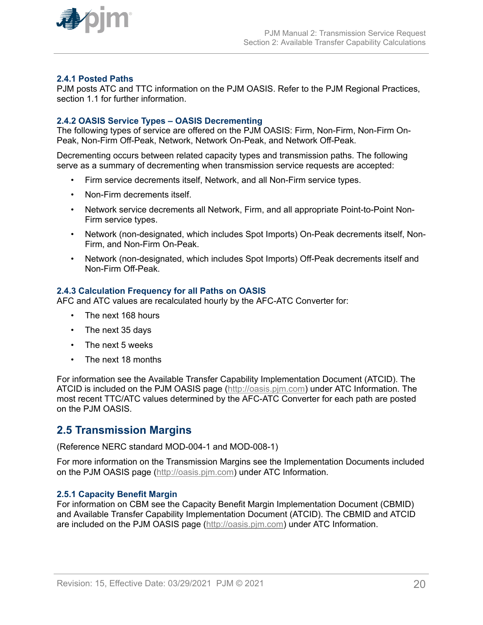<span id="page-19-0"></span>

#### **2.4.1 Posted Paths**

PJM posts ATC and TTC information on the PJM OASIS. Refer to the PJM Regional Practices, section 1.1 for further information

#### **2.4.2 OASIS Service Types – OASIS Decrementing**

The following types of service are offered on the PJM OASIS: Firm, Non-Firm, Non-Firm On-Peak, Non-Firm Off-Peak, Network, Network On-Peak, and Network Off-Peak.

Decrementing occurs between related capacity types and transmission paths. The following serve as a summary of decrementing when transmission service requests are accepted:

- Firm service decrements itself, Network, and all Non-Firm service types.
- Non-Firm decrements itself.
- Network service decrements all Network, Firm, and all appropriate Point-to-Point Non-Firm service types.
- Network (non-designated, which includes Spot Imports) On-Peak decrements itself, Non-Firm, and Non-Firm On-Peak.
- Network (non-designated, which includes Spot Imports) Off-Peak decrements itself and Non-Firm Off-Peak.

#### **2.4.3 Calculation Frequency for all Paths on OASIS**

AFC and ATC values are recalculated hourly by the AFC-ATC Converter for:

- The next 168 hours
- The next 35 days
- The next 5 weeks
- The next 18 months

For information see the Available Transfer Capability Implementation Document (ATCID). The ATCID is included on the PJM OASIS page ([http://oasis.pjm.com\)](http://oasis.pjm.com/) under ATC Information. The most recent TTC/ATC values determined by the AFC-ATC Converter for each path are posted on the PJM OASIS.

#### **2.5 Transmission Margins**

(Reference NERC standard MOD-004-1 and MOD-008-1)

For more information on the Transmission Margins see the Implementation Documents included on the PJM OASIS page ([http://oasis.pjm.com](http://oasis.pjm.com/)) under ATC Information.

#### **2.5.1 Capacity Benefit Margin**

For information on CBM see the Capacity Benefit Margin Implementation Document (CBMID) and Available Transfer Capability Implementation Document (ATCID). The CBMID and ATCID are included on the PJM OASIS page ([http://oasis.pjm.com](http://oasis.pjm.com/)) under ATC Information.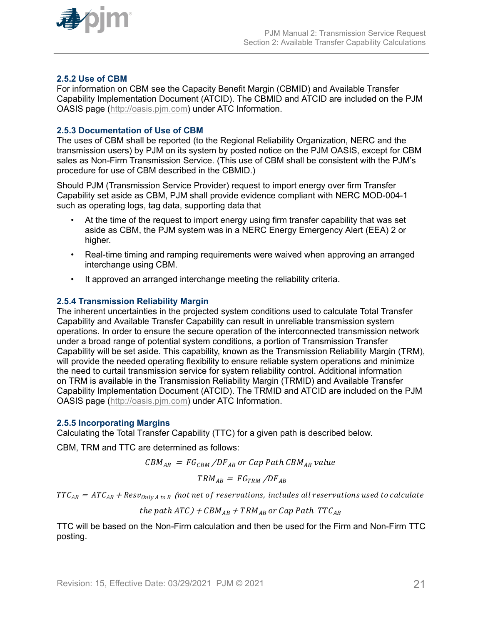<span id="page-20-0"></span>

#### **2.5.2 Use of CBM**

For information on CBM see the Capacity Benefit Margin (CBMID) and Available Transfer Capability Implementation Document (ATCID). The CBMID and ATCID are included on the PJM OASIS page ([http://oasis.pjm.com\)](http://oasis.pjm.com/) under ATC Information.

#### **2.5.3 Documentation of Use of CBM**

The uses of CBM shall be reported (to the Regional Reliability Organization, NERC and the transmission users) by PJM on its system by posted notice on the PJM OASIS, except for CBM sales as Non-Firm Transmission Service. (This use of CBM shall be consistent with the PJM's procedure for use of CBM described in the CBMID.)

Should PJM (Transmission Service Provider) request to import energy over firm Transfer Capability set aside as CBM, PJM shall provide evidence compliant with NERC MOD-004-1 such as operating logs, tag data, supporting data that

- At the time of the request to import energy using firm transfer capability that was set aside as CBM, the PJM system was in a NERC Energy Emergency Alert (EEA) 2 or higher.
- Real-time timing and ramping requirements were waived when approving an arranged interchange using CBM.
- It approved an arranged interchange meeting the reliability criteria.

#### **2.5.4 Transmission Reliability Margin**

The inherent uncertainties in the projected system conditions used to calculate Total Transfer Capability and Available Transfer Capability can result in unreliable transmission system operations. In order to ensure the secure operation of the interconnected transmission network under a broad range of potential system conditions, a portion of Transmission Transfer Capability will be set aside. This capability, known as the Transmission Reliability Margin (TRM), will provide the needed operating flexibility to ensure reliable system operations and minimize the need to curtail transmission service for system reliability control. Additional information on TRM is available in the Transmission Reliability Margin (TRMID) and Available Transfer Capability Implementation Document (ATCID). The TRMID and ATCID are included on the PJM OASIS page ([http://oasis.pjm.com\)](http://oasis.pjm.com/) under ATC Information.

#### **2.5.5 Incorporating Margins**

Calculating the Total Transfer Capability (TTC) for a given path is described below.

CBM, TRM and TTC are determined as follows:

$$
CBM_{AB} = FG_{CBM}/DF_{AB} \text{ or } Cap \text{ Path } CBM_{AB} \text{ value}
$$

$$
TRM_{AB} = FG_{TRM}/DF_{AB}
$$

 $TTC_{AB} = ATC_{AB} + Resv_{OnlvA to B}$  (not net of reservations, includes all reservations used to calculate

the path 
$$
ATC
$$
) +  $CBM_{AB}$  +  $TRM_{AB}$  or Cap Path  $TTC_{AB}$ 

TTC will be based on the Non-Firm calculation and then be used for the Firm and Non-Firm TTC posting.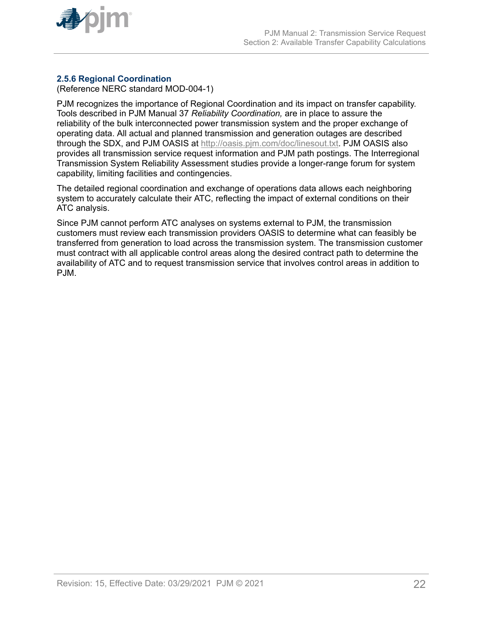<span id="page-21-0"></span>

#### **2.5.6 Regional Coordination**

(Reference NERC standard MOD-004-1)

PJM recognizes the importance of Regional Coordination and its impact on transfer capability. Tools described in PJM Manual 37 *Reliability Coordination,* are in place to assure the reliability of the bulk interconnected power transmission system and the proper exchange of operating data. All actual and planned transmission and generation outages are described through the SDX, and PJM OASIS at <http://oasis.pjm.com/doc/linesout.txt>. PJM OASIS also provides all transmission service request information and PJM path postings. The Interregional Transmission System Reliability Assessment studies provide a longer-range forum for system capability, limiting facilities and contingencies.

The detailed regional coordination and exchange of operations data allows each neighboring system to accurately calculate their ATC, reflecting the impact of external conditions on their ATC analysis.

Since PJM cannot perform ATC analyses on systems external to PJM, the transmission customers must review each transmission providers OASIS to determine what can feasibly be transferred from generation to load across the transmission system. The transmission customer must contract with all applicable control areas along the desired contract path to determine the availability of ATC and to request transmission service that involves control areas in addition to PJM.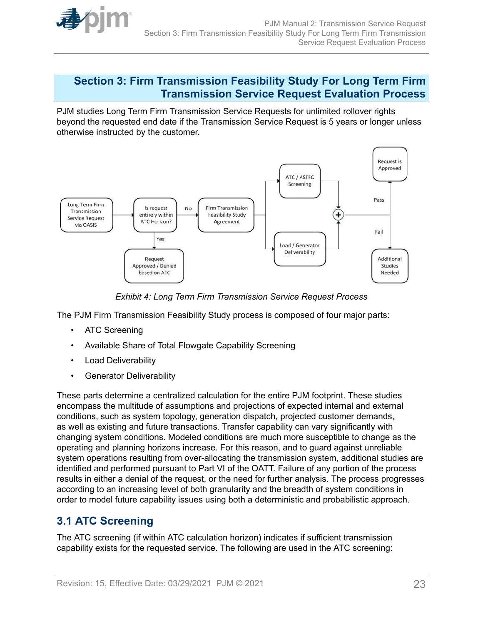<span id="page-22-0"></span>

### **Section 3: Firm Transmission Feasibility Study For Long Term Firm Transmission Service Request Evaluation Process**

PJM studies Long Term Firm Transmission Service Requests for unlimited rollover rights beyond the requested end date if the Transmission Service Request is 5 years or longer unless otherwise instructed by the customer.



*Exhibit 4: Long Term Firm Transmission Service Request Process*

The PJM Firm Transmission Feasibility Study process is composed of four major parts:

- ATC Screening
- Available Share of Total Flowgate Capability Screening
- Load Deliverability
- Generator Deliverability

These parts determine a centralized calculation for the entire PJM footprint. These studies encompass the multitude of assumptions and projections of expected internal and external conditions, such as system topology, generation dispatch, projected customer demands, as well as existing and future transactions. Transfer capability can vary significantly with changing system conditions. Modeled conditions are much more susceptible to change as the operating and planning horizons increase. For this reason, and to guard against unreliable system operations resulting from over-allocating the transmission system, additional studies are identified and performed pursuant to Part VI of the OATT. Failure of any portion of the process results in either a denial of the request, or the need for further analysis. The process progresses according to an increasing level of both granularity and the breadth of system conditions in order to model future capability issues using both a deterministic and probabilistic approach.

## **3.1 ATC Screening**

The ATC screening (if within ATC calculation horizon) indicates if sufficient transmission capability exists for the requested service. The following are used in the ATC screening: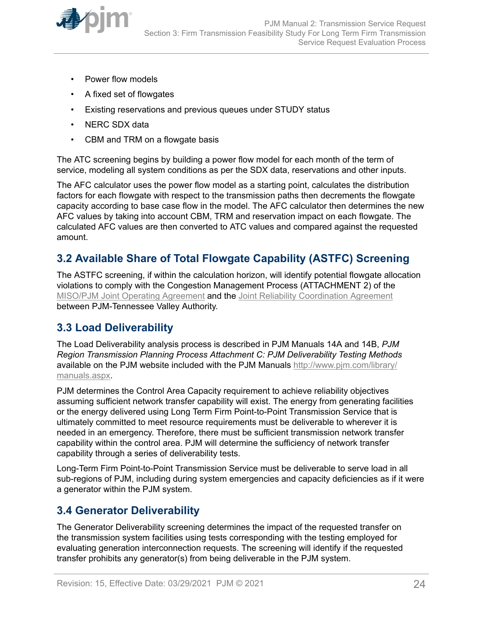<span id="page-23-0"></span>

- Power flow models
- A fixed set of flowgates
- Existing reservations and previous queues under STUDY status
- NERC SDX data
- CBM and TRM on a flowgate basis

The ATC screening begins by building a power flow model for each month of the term of service, modeling all system conditions as per the SDX data, reservations and other inputs.

The AFC calculator uses the power flow model as a starting point, calculates the distribution factors for each flowgate with respect to the transmission paths then decrements the flowgate capacity according to base case flow in the model. The AFC calculator then determines the new AFC values by taking into account CBM, TRM and reservation impact on each flowgate. The calculated AFC values are then converted to ATC values and compared against the requested amount.

### **3.2 Available Share of Total Flowgate Capability (ASTFC) Screening**

The ASTFC screening, if within the calculation horizon, will identify potential flowgate allocation violations to comply with the Congestion Management Process (ATTACHMENT 2) of the [MISO/PJM Joint Operating Agreement](http://www.pjm.com/directory/merged-tariffs/miso-joa.pdf) and the [Joint Reliability Coordination Agreement](http://www.pjm.com/-/media/documents/agreements/joint-reliability-coordination-agreement-miso-pjm-tva.ashx?la=en) between PJM-Tennessee Valley Authority.

### **3.3 Load Deliverability**

The Load Deliverability analysis process is described in PJM Manuals 14A and 14B, *PJM Region Transmission Planning Process Attachment C: PJM Deliverability Testing Methods* available on the PJM website included with the PJM Manuals [http://www.pjm.com/library/](http://www.pjm.com/library/manuals.aspx) [manuals.aspx.](http://www.pjm.com/library/manuals.aspx)

PJM determines the Control Area Capacity requirement to achieve reliability objectives assuming sufficient network transfer capability will exist. The energy from generating facilities or the energy delivered using Long Term Firm Point-to-Point Transmission Service that is ultimately committed to meet resource requirements must be deliverable to wherever it is needed in an emergency. Therefore, there must be sufficient transmission network transfer capability within the control area. PJM will determine the sufficiency of network transfer capability through a series of deliverability tests.

Long-Term Firm Point-to-Point Transmission Service must be deliverable to serve load in all sub-regions of PJM, including during system emergencies and capacity deficiencies as if it were a generator within the PJM system.

### **3.4 Generator Deliverability**

The Generator Deliverability screening determines the impact of the requested transfer on the transmission system facilities using tests corresponding with the testing employed for evaluating generation interconnection requests. The screening will identify if the requested transfer prohibits any generator(s) from being deliverable in the PJM system.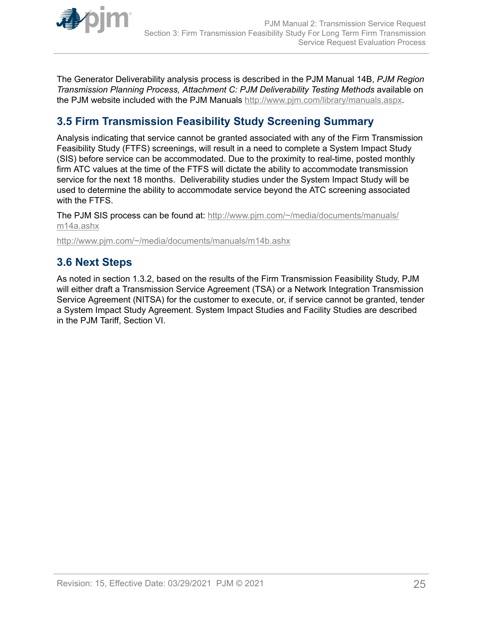<span id="page-24-0"></span>

The Generator Deliverability analysis process is described in the PJM Manual 14B, *PJM Region Transmission Planning Process, Attachment C: PJM Deliverability Testing Methods* available on the PJM website included with the PJM Manuals [http://www.pjm.com/library/manuals.aspx.](http://www.pjm.com/library/manuals.aspx)

## **3.5 Firm Transmission Feasibility Study Screening Summary**

Analysis indicating that service cannot be granted associated with any of the Firm Transmission Feasibility Study (FTFS) screenings, will result in a need to complete a System Impact Study (SIS) before service can be accommodated. Due to the proximity to real-time, posted monthly firm ATC values at the time of the FTFS will dictate the ability to accommodate transmission service for the next 18 months. Deliverability studies under the System Impact Study will be used to determine the ability to accommodate service beyond the ATC screening associated with the FTFS.

The PJM SIS process can be found at: [http://www.pjm.com/~/media/documents/manuals/](http://www.pjm.com/~/media/documents/manuals/m14a.ashx) [m14a.ashx](http://www.pjm.com/~/media/documents/manuals/m14a.ashx)

<http://www.pjm.com/~/media/documents/manuals/m14b.ashx>

### **3.6 Next Steps**

As noted in section 1.3.2, based on the results of the Firm Transmission Feasibility Study, PJM will either draft a Transmission Service Agreement (TSA) or a Network Integration Transmission Service Agreement (NITSA) for the customer to execute, or, if service cannot be granted, tender a System Impact Study Agreement. System Impact Studies and Facility Studies are described in the PJM Tariff, Section VI.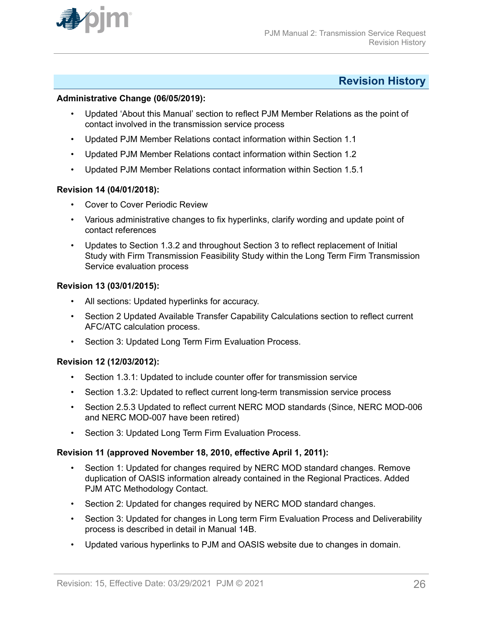<span id="page-25-0"></span>

### **Revision History**

#### **Administrative Change (06/05/2019):**

- Updated 'About this Manual' section to reflect PJM Member Relations as the point of contact involved in the transmission service process
- Updated PJM Member Relations contact information within Section 1.1
- Updated PJM Member Relations contact information within Section 1.2
- Updated PJM Member Relations contact information within Section 1.5.1

#### **Revision 14 (04/01/2018):**

- Cover to Cover Periodic Review
- Various administrative changes to fix hyperlinks, clarify wording and update point of contact references
- Updates to Section 1.3.2 and throughout Section 3 to reflect replacement of Initial Study with Firm Transmission Feasibility Study within the Long Term Firm Transmission Service evaluation process

#### **Revision 13 (03/01/2015):**

- All sections: Updated hyperlinks for accuracy.
- Section 2 Updated Available Transfer Capability Calculations section to reflect current AFC/ATC calculation process.
- Section 3: Updated Long Term Firm Evaluation Process.

#### **Revision 12 (12/03/2012):**

- Section 1.3.1: Updated to include counter offer for transmission service
- Section 1.3.2: Updated to reflect current long-term transmission service process
- Section 2.5.3 Updated to reflect current NERC MOD standards (Since, NERC MOD-006 and NERC MOD-007 have been retired)
- Section 3: Updated Long Term Firm Evaluation Process.

#### **Revision 11 (approved November 18, 2010, effective April 1, 2011):**

- Section 1: Updated for changes required by NERC MOD standard changes. Remove duplication of OASIS information already contained in the Regional Practices. Added PJM ATC Methodology Contact.
- Section 2: Updated for changes required by NERC MOD standard changes.
- Section 3: Updated for changes in Long term Firm Evaluation Process and Deliverability process is described in detail in Manual 14B.
- Updated various hyperlinks to PJM and OASIS website due to changes in domain.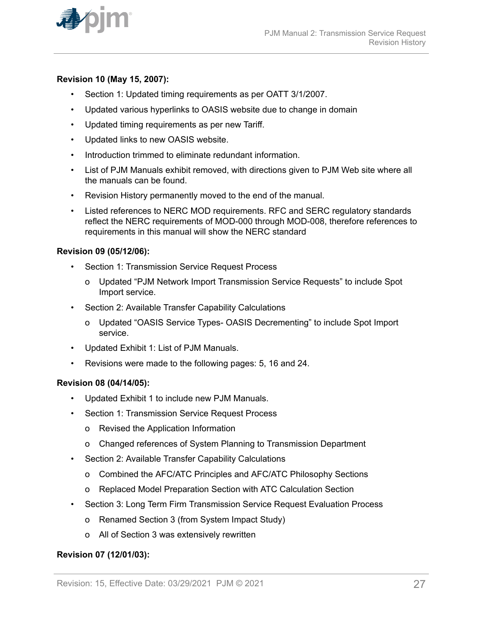

#### **Revision 10 (May 15, 2007):**

- Section 1: Updated timing requirements as per OATT 3/1/2007.
- Updated various hyperlinks to OASIS website due to change in domain
- Updated timing requirements as per new Tariff.
- Updated links to new OASIS website.
- Introduction trimmed to eliminate redundant information.
- List of PJM Manuals exhibit removed, with directions given to PJM Web site where all the manuals can be found.
- Revision History permanently moved to the end of the manual.
- Listed references to NERC MOD requirements. RFC and SERC regulatory standards reflect the NERC requirements of MOD-000 through MOD-008, therefore references to requirements in this manual will show the NERC standard

#### **Revision 09 (05/12/06):**

- Section 1: Transmission Service Request Process
	- o Updated "PJM Network Import Transmission Service Requests" to include Spot Import service.
- Section 2: Available Transfer Capability Calculations
	- o Updated "OASIS Service Types- OASIS Decrementing" to include Spot Import service.
- Updated Exhibit 1: List of PJM Manuals.
- Revisions were made to the following pages: 5, 16 and 24.

#### **Revision 08 (04/14/05):**

- Updated Exhibit 1 to include new PJM Manuals.
- Section 1: Transmission Service Request Process
	- o Revised the Application Information
	- o Changed references of System Planning to Transmission Department
- Section 2: Available Transfer Capability Calculations
	- o Combined the AFC/ATC Principles and AFC/ATC Philosophy Sections
	- o Replaced Model Preparation Section with ATC Calculation Section
- Section 3: Long Term Firm Transmission Service Request Evaluation Process
	- o Renamed Section 3 (from System Impact Study)
	- o All of Section 3 was extensively rewritten

#### **Revision 07 (12/01/03):**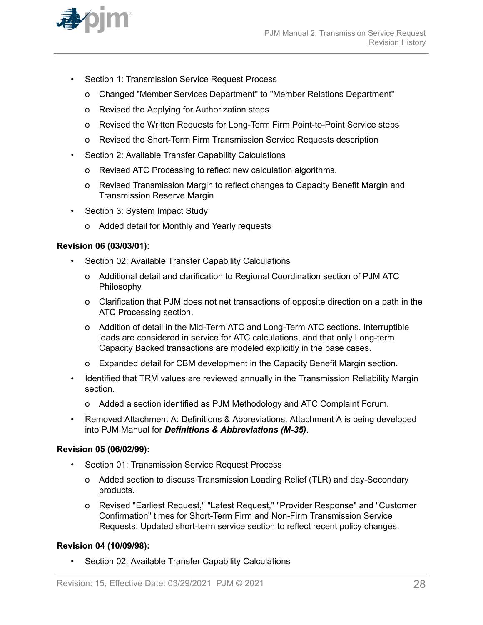

- Section 1: Transmission Service Request Process
	- o Changed "Member Services Department" to "Member Relations Department"
	- o Revised the Applying for Authorization steps
	- o Revised the Written Requests for Long-Term Firm Point-to-Point Service steps
	- o Revised the Short-Term Firm Transmission Service Requests description
- Section 2: Available Transfer Capability Calculations
	- o Revised ATC Processing to reflect new calculation algorithms.
	- o Revised Transmission Margin to reflect changes to Capacity Benefit Margin and Transmission Reserve Margin
- Section 3: System Impact Study
	- o Added detail for Monthly and Yearly requests

#### **Revision 06 (03/03/01):**

- Section 02: Available Transfer Capability Calculations
	- o Additional detail and clarification to Regional Coordination section of PJM ATC Philosophy.
	- o Clarification that PJM does not net transactions of opposite direction on a path in the ATC Processing section.
	- o Addition of detail in the Mid-Term ATC and Long-Term ATC sections. Interruptible loads are considered in service for ATC calculations, and that only Long-term Capacity Backed transactions are modeled explicitly in the base cases.
	- o Expanded detail for CBM development in the Capacity Benefit Margin section.
- Identified that TRM values are reviewed annually in the Transmission Reliability Margin section.
	- o Added a section identified as PJM Methodology and ATC Complaint Forum.
- Removed Attachment A: Definitions & Abbreviations. Attachment A is being developed into PJM Manual for *Definitions & Abbreviations (M-35)*.

#### **Revision 05 (06/02/99):**

- Section 01: Transmission Service Request Process
	- o Added section to discuss Transmission Loading Relief (TLR) and day-Secondary products.
	- o Revised "Earliest Request," "Latest Request," "Provider Response" and "Customer Confirmation" times for Short-Term Firm and Non-Firm Transmission Service Requests. Updated short-term service section to reflect recent policy changes.

#### **Revision 04 (10/09/98):**

• Section 02: Available Transfer Capability Calculations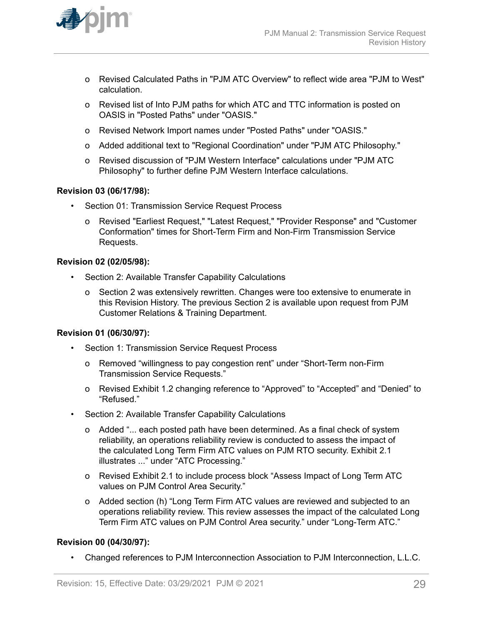

- o Revised Calculated Paths in "PJM ATC Overview" to reflect wide area "PJM to West" calculation.
- o Revised list of Into PJM paths for which ATC and TTC information is posted on OASIS in "Posted Paths" under "OASIS."
- o Revised Network Import names under "Posted Paths" under "OASIS."
- o Added additional text to "Regional Coordination" under "PJM ATC Philosophy."
- o Revised discussion of "PJM Western Interface" calculations under "PJM ATC Philosophy" to further define PJM Western Interface calculations.

#### **Revision 03 (06/17/98):**

- Section 01: Transmission Service Request Process
	- o Revised "Earliest Request," "Latest Request," "Provider Response" and "Customer Conformation" times for Short-Term Firm and Non-Firm Transmission Service Requests.

#### **Revision 02 (02/05/98):**

- Section 2: Available Transfer Capability Calculations
	- o Section 2 was extensively rewritten. Changes were too extensive to enumerate in this Revision History. The previous Section 2 is available upon request from PJM Customer Relations & Training Department.

#### **Revision 01 (06/30/97):**

- Section 1: Transmission Service Request Process
	- o Removed "willingness to pay congestion rent" under "Short-Term non-Firm Transmission Service Requests."
	- o Revised Exhibit 1.2 changing reference to "Approved" to "Accepted" and "Denied" to "Refused."
- Section 2: Available Transfer Capability Calculations
	- o Added "... each posted path have been determined. As a final check of system reliability, an operations reliability review is conducted to assess the impact of the calculated Long Term Firm ATC values on PJM RTO security. Exhibit 2.1 illustrates ..." under "ATC Processing."
	- o Revised Exhibit 2.1 to include process block "Assess Impact of Long Term ATC values on PJM Control Area Security."
	- o Added section (h) "Long Term Firm ATC values are reviewed and subjected to an operations reliability review. This review assesses the impact of the calculated Long Term Firm ATC values on PJM Control Area security." under "Long-Term ATC."

#### **Revision 00 (04/30/97):**

• Changed references to PJM Interconnection Association to PJM Interconnection, L.L.C.